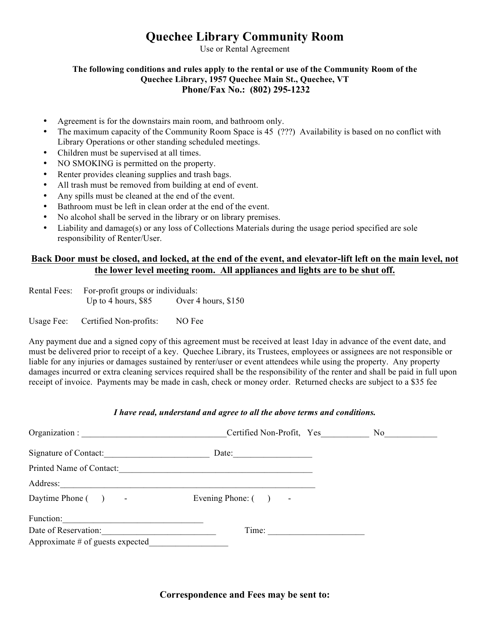# **Quechee Library Community Room**

Use or Rental Agreement

#### **The following conditions and rules apply to the rental or use of the Community Room of the Quechee Library, 1957 Quechee Main St., Quechee, VT Phone/Fax No.: (802) 295-1232**

- Agreement is for the downstairs main room, and bathroom only.
- The maximum capacity of the Community Room Space is 45 (???) Availability is based on no conflict with Library Operations or other standing scheduled meetings.
- Children must be supervised at all times.
- NO SMOKING is permitted on the property.
- Renter provides cleaning supplies and trash bags.
- All trash must be removed from building at end of event.
- Any spills must be cleaned at the end of the event.
- Bathroom must be left in clean order at the end of the event.
- No alcohol shall be served in the library or on library premises.
- Liability and damage(s) or any loss of Collections Materials during the usage period specified are sole responsibility of Renter/User.

## **Back Door must be closed, and locked, at the end of the event, and elevator-lift left on the main level, not the lower level meeting room. All appliances and lights are to be shut off.**

Rental Fees: For-profit groups or individuals: Up to 4 hours, \$85 Over 4 hours, \$150

Usage Fee: Certified Non-profits: NO Fee

Any payment due and a signed copy of this agreement must be received at least 1day in advance of the event date, and must be delivered prior to receipt of a key. Quechee Library, its Trustees, employees or assignees are not responsible or liable for any injuries or damages sustained by renter/user or event attendees while using the property. Any property damages incurred or extra cleaning services required shall be the responsibility of the renter and shall be paid in full upon receipt of invoice. Payments may be made in cash, check or money order. Returned checks are subject to a \$35 fee

#### *I have read, understand and agree to all the above terms and conditions.*

| Organization :                     | Certified Non-Profit, Yes | No. |
|------------------------------------|---------------------------|-----|
| Signature of Contact:              | Date:                     |     |
| Printed Name of Contact:           |                           |     |
| Address:                           |                           |     |
| Daytime Phone () -                 | Evening Phone: $($ ) -    |     |
| Function:                          |                           |     |
| Date of Reservation:               | Time:                     |     |
| Approximate $#$ of guests expected |                           |     |

**Correspondence and Fees may be sent to:**